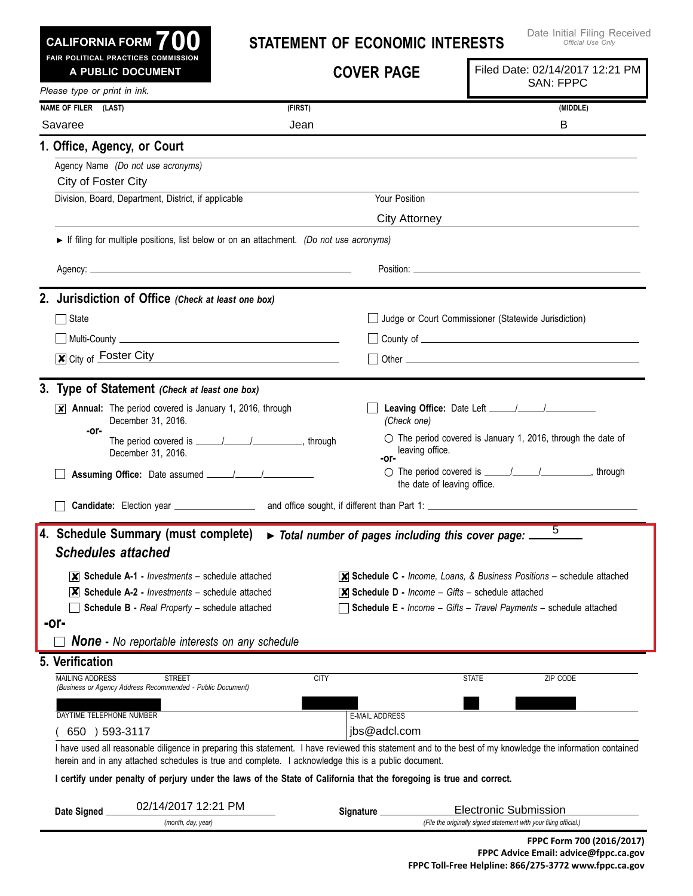| <b>CALIFORNIA FORM</b> |  |  |
|------------------------|--|--|
|------------------------|--|--|

# **Statement of Economic Interests**

| Please type or print in ink.<br>NAME OF FILER (LAST)<br>(FIRST)<br>(MIDDLE)<br>Savaree<br>Jean<br>B<br>1. Office, Agency, or Court<br>Agency Name (Do not use acronyms)<br>City of Foster City<br>Your Position<br>Division, Board, Department, District, if applicable<br>City Attorney<br>If filing for multiple positions, list below or on an attachment. (Do not use acronyms)<br>2. Jurisdiction of Office (Check at least one box)<br>□ Judge or Court Commissioner (Statewide Jurisdiction)<br>$\Box$ State<br><u>  Multi-County   Multi-County   Multi-County   Multi-County   Multi-County   Multi-County   Multi-Gounty   Multi-</u><br>$\overline{\mathbf{x}}$ City of Foster City<br>3. Type of Statement (Check at least one box)<br>$\overline{\mathsf{x}}$ Annual: The period covered is January 1, 2016, through<br>December 31, 2016.<br>(Check one)<br>-or-<br>$\circlearrowright$ The period covered is January 1, 2016, through the date of<br>leaving office.<br>December 31, 2016.<br>-or-<br>○ The period covered is <u>_____/_____/</u> ________________, through<br>the date of leaving office.<br>5<br>4. Schedule Summary (must complete)<br>$\triangleright$ Total number of pages including this cover page: $\perp$<br><b>Schedules attached</b><br>$ \mathsf{X} $ Schedule A-1 - <i>Investments</i> – schedule attached<br>$\overline{\mathsf{x}}$ Schedule C - Income, Loans, & Business Positions – schedule attached<br>$ \mathbf{X} $ Schedule A-2 - <i>Investments</i> – schedule attached<br>$\mathbf{\mathbf{X}}$ Schedule D - Income - Gifts - schedule attached<br><b>Schedule B - Real Property - schedule attached</b><br><b>Schedule E</b> - Income - Gifts - Travel Payments - schedule attached<br>-or-<br><b>None -</b> No reportable interests on any schedule<br>5. Verification<br><b>CITY</b><br>MAILING ADDRESS<br><b>STREET</b><br>ZIP CODE<br><b>STATE</b><br>(Business or Agency Address Recommended - Public Document)<br><b>E-MAIL ADDRESS</b><br>DAYTIME TELEPHONE NUMBER<br>jbs@adcl.com<br>650 ) 593-3117<br>I have used all reasonable diligence in preparing this statement. I have reviewed this statement and to the best of my knowledge the information contained<br>herein and in any attached schedules is true and complete. I acknowledge this is a public document.<br>I certify under penalty of perjury under the laws of the State of California that the foregoing is true and correct. | FAIR POLITICAL PRACTICES COMMISSION<br>A PUBLIC DOCUMENT | <b>COVER PAGE</b> | Filed Date: 02/14/2017 12:21 PM<br><b>SAN: FPPC</b> |
|--------------------------------------------------------------------------------------------------------------------------------------------------------------------------------------------------------------------------------------------------------------------------------------------------------------------------------------------------------------------------------------------------------------------------------------------------------------------------------------------------------------------------------------------------------------------------------------------------------------------------------------------------------------------------------------------------------------------------------------------------------------------------------------------------------------------------------------------------------------------------------------------------------------------------------------------------------------------------------------------------------------------------------------------------------------------------------------------------------------------------------------------------------------------------------------------------------------------------------------------------------------------------------------------------------------------------------------------------------------------------------------------------------------------------------------------------------------------------------------------------------------------------------------------------------------------------------------------------------------------------------------------------------------------------------------------------------------------------------------------------------------------------------------------------------------------------------------------------------------------------------------------------------------------------------------------------------------------------------------------------------------------------------------------------------------------------------------------------------------------------------------------------------------------------------------------------------------------------------------------------------------------------------------------------------------------------------------------------------------------------------------------------------------------------------------------------------------------|----------------------------------------------------------|-------------------|-----------------------------------------------------|
|                                                                                                                                                                                                                                                                                                                                                                                                                                                                                                                                                                                                                                                                                                                                                                                                                                                                                                                                                                                                                                                                                                                                                                                                                                                                                                                                                                                                                                                                                                                                                                                                                                                                                                                                                                                                                                                                                                                                                                                                                                                                                                                                                                                                                                                                                                                                                                                                                                                                    |                                                          |                   |                                                     |
|                                                                                                                                                                                                                                                                                                                                                                                                                                                                                                                                                                                                                                                                                                                                                                                                                                                                                                                                                                                                                                                                                                                                                                                                                                                                                                                                                                                                                                                                                                                                                                                                                                                                                                                                                                                                                                                                                                                                                                                                                                                                                                                                                                                                                                                                                                                                                                                                                                                                    |                                                          |                   |                                                     |
|                                                                                                                                                                                                                                                                                                                                                                                                                                                                                                                                                                                                                                                                                                                                                                                                                                                                                                                                                                                                                                                                                                                                                                                                                                                                                                                                                                                                                                                                                                                                                                                                                                                                                                                                                                                                                                                                                                                                                                                                                                                                                                                                                                                                                                                                                                                                                                                                                                                                    |                                                          |                   |                                                     |
|                                                                                                                                                                                                                                                                                                                                                                                                                                                                                                                                                                                                                                                                                                                                                                                                                                                                                                                                                                                                                                                                                                                                                                                                                                                                                                                                                                                                                                                                                                                                                                                                                                                                                                                                                                                                                                                                                                                                                                                                                                                                                                                                                                                                                                                                                                                                                                                                                                                                    |                                                          |                   |                                                     |
|                                                                                                                                                                                                                                                                                                                                                                                                                                                                                                                                                                                                                                                                                                                                                                                                                                                                                                                                                                                                                                                                                                                                                                                                                                                                                                                                                                                                                                                                                                                                                                                                                                                                                                                                                                                                                                                                                                                                                                                                                                                                                                                                                                                                                                                                                                                                                                                                                                                                    |                                                          |                   |                                                     |
|                                                                                                                                                                                                                                                                                                                                                                                                                                                                                                                                                                                                                                                                                                                                                                                                                                                                                                                                                                                                                                                                                                                                                                                                                                                                                                                                                                                                                                                                                                                                                                                                                                                                                                                                                                                                                                                                                                                                                                                                                                                                                                                                                                                                                                                                                                                                                                                                                                                                    |                                                          |                   |                                                     |
|                                                                                                                                                                                                                                                                                                                                                                                                                                                                                                                                                                                                                                                                                                                                                                                                                                                                                                                                                                                                                                                                                                                                                                                                                                                                                                                                                                                                                                                                                                                                                                                                                                                                                                                                                                                                                                                                                                                                                                                                                                                                                                                                                                                                                                                                                                                                                                                                                                                                    |                                                          |                   |                                                     |
|                                                                                                                                                                                                                                                                                                                                                                                                                                                                                                                                                                                                                                                                                                                                                                                                                                                                                                                                                                                                                                                                                                                                                                                                                                                                                                                                                                                                                                                                                                                                                                                                                                                                                                                                                                                                                                                                                                                                                                                                                                                                                                                                                                                                                                                                                                                                                                                                                                                                    |                                                          |                   |                                                     |
|                                                                                                                                                                                                                                                                                                                                                                                                                                                                                                                                                                                                                                                                                                                                                                                                                                                                                                                                                                                                                                                                                                                                                                                                                                                                                                                                                                                                                                                                                                                                                                                                                                                                                                                                                                                                                                                                                                                                                                                                                                                                                                                                                                                                                                                                                                                                                                                                                                                                    |                                                          |                   |                                                     |
|                                                                                                                                                                                                                                                                                                                                                                                                                                                                                                                                                                                                                                                                                                                                                                                                                                                                                                                                                                                                                                                                                                                                                                                                                                                                                                                                                                                                                                                                                                                                                                                                                                                                                                                                                                                                                                                                                                                                                                                                                                                                                                                                                                                                                                                                                                                                                                                                                                                                    |                                                          |                   |                                                     |
|                                                                                                                                                                                                                                                                                                                                                                                                                                                                                                                                                                                                                                                                                                                                                                                                                                                                                                                                                                                                                                                                                                                                                                                                                                                                                                                                                                                                                                                                                                                                                                                                                                                                                                                                                                                                                                                                                                                                                                                                                                                                                                                                                                                                                                                                                                                                                                                                                                                                    |                                                          |                   |                                                     |
|                                                                                                                                                                                                                                                                                                                                                                                                                                                                                                                                                                                                                                                                                                                                                                                                                                                                                                                                                                                                                                                                                                                                                                                                                                                                                                                                                                                                                                                                                                                                                                                                                                                                                                                                                                                                                                                                                                                                                                                                                                                                                                                                                                                                                                                                                                                                                                                                                                                                    |                                                          |                   |                                                     |
|                                                                                                                                                                                                                                                                                                                                                                                                                                                                                                                                                                                                                                                                                                                                                                                                                                                                                                                                                                                                                                                                                                                                                                                                                                                                                                                                                                                                                                                                                                                                                                                                                                                                                                                                                                                                                                                                                                                                                                                                                                                                                                                                                                                                                                                                                                                                                                                                                                                                    |                                                          |                   |                                                     |
|                                                                                                                                                                                                                                                                                                                                                                                                                                                                                                                                                                                                                                                                                                                                                                                                                                                                                                                                                                                                                                                                                                                                                                                                                                                                                                                                                                                                                                                                                                                                                                                                                                                                                                                                                                                                                                                                                                                                                                                                                                                                                                                                                                                                                                                                                                                                                                                                                                                                    |                                                          |                   |                                                     |
|                                                                                                                                                                                                                                                                                                                                                                                                                                                                                                                                                                                                                                                                                                                                                                                                                                                                                                                                                                                                                                                                                                                                                                                                                                                                                                                                                                                                                                                                                                                                                                                                                                                                                                                                                                                                                                                                                                                                                                                                                                                                                                                                                                                                                                                                                                                                                                                                                                                                    |                                                          |                   |                                                     |
|                                                                                                                                                                                                                                                                                                                                                                                                                                                                                                                                                                                                                                                                                                                                                                                                                                                                                                                                                                                                                                                                                                                                                                                                                                                                                                                                                                                                                                                                                                                                                                                                                                                                                                                                                                                                                                                                                                                                                                                                                                                                                                                                                                                                                                                                                                                                                                                                                                                                    |                                                          |                   |                                                     |
|                                                                                                                                                                                                                                                                                                                                                                                                                                                                                                                                                                                                                                                                                                                                                                                                                                                                                                                                                                                                                                                                                                                                                                                                                                                                                                                                                                                                                                                                                                                                                                                                                                                                                                                                                                                                                                                                                                                                                                                                                                                                                                                                                                                                                                                                                                                                                                                                                                                                    |                                                          |                   |                                                     |
|                                                                                                                                                                                                                                                                                                                                                                                                                                                                                                                                                                                                                                                                                                                                                                                                                                                                                                                                                                                                                                                                                                                                                                                                                                                                                                                                                                                                                                                                                                                                                                                                                                                                                                                                                                                                                                                                                                                                                                                                                                                                                                                                                                                                                                                                                                                                                                                                                                                                    |                                                          |                   |                                                     |
|                                                                                                                                                                                                                                                                                                                                                                                                                                                                                                                                                                                                                                                                                                                                                                                                                                                                                                                                                                                                                                                                                                                                                                                                                                                                                                                                                                                                                                                                                                                                                                                                                                                                                                                                                                                                                                                                                                                                                                                                                                                                                                                                                                                                                                                                                                                                                                                                                                                                    |                                                          |                   |                                                     |
|                                                                                                                                                                                                                                                                                                                                                                                                                                                                                                                                                                                                                                                                                                                                                                                                                                                                                                                                                                                                                                                                                                                                                                                                                                                                                                                                                                                                                                                                                                                                                                                                                                                                                                                                                                                                                                                                                                                                                                                                                                                                                                                                                                                                                                                                                                                                                                                                                                                                    |                                                          |                   |                                                     |
|                                                                                                                                                                                                                                                                                                                                                                                                                                                                                                                                                                                                                                                                                                                                                                                                                                                                                                                                                                                                                                                                                                                                                                                                                                                                                                                                                                                                                                                                                                                                                                                                                                                                                                                                                                                                                                                                                                                                                                                                                                                                                                                                                                                                                                                                                                                                                                                                                                                                    |                                                          |                   |                                                     |
|                                                                                                                                                                                                                                                                                                                                                                                                                                                                                                                                                                                                                                                                                                                                                                                                                                                                                                                                                                                                                                                                                                                                                                                                                                                                                                                                                                                                                                                                                                                                                                                                                                                                                                                                                                                                                                                                                                                                                                                                                                                                                                                                                                                                                                                                                                                                                                                                                                                                    |                                                          |                   |                                                     |
|                                                                                                                                                                                                                                                                                                                                                                                                                                                                                                                                                                                                                                                                                                                                                                                                                                                                                                                                                                                                                                                                                                                                                                                                                                                                                                                                                                                                                                                                                                                                                                                                                                                                                                                                                                                                                                                                                                                                                                                                                                                                                                                                                                                                                                                                                                                                                                                                                                                                    |                                                          |                   |                                                     |
|                                                                                                                                                                                                                                                                                                                                                                                                                                                                                                                                                                                                                                                                                                                                                                                                                                                                                                                                                                                                                                                                                                                                                                                                                                                                                                                                                                                                                                                                                                                                                                                                                                                                                                                                                                                                                                                                                                                                                                                                                                                                                                                                                                                                                                                                                                                                                                                                                                                                    |                                                          |                   |                                                     |
|                                                                                                                                                                                                                                                                                                                                                                                                                                                                                                                                                                                                                                                                                                                                                                                                                                                                                                                                                                                                                                                                                                                                                                                                                                                                                                                                                                                                                                                                                                                                                                                                                                                                                                                                                                                                                                                                                                                                                                                                                                                                                                                                                                                                                                                                                                                                                                                                                                                                    |                                                          |                   |                                                     |
|                                                                                                                                                                                                                                                                                                                                                                                                                                                                                                                                                                                                                                                                                                                                                                                                                                                                                                                                                                                                                                                                                                                                                                                                                                                                                                                                                                                                                                                                                                                                                                                                                                                                                                                                                                                                                                                                                                                                                                                                                                                                                                                                                                                                                                                                                                                                                                                                                                                                    |                                                          |                   |                                                     |
|                                                                                                                                                                                                                                                                                                                                                                                                                                                                                                                                                                                                                                                                                                                                                                                                                                                                                                                                                                                                                                                                                                                                                                                                                                                                                                                                                                                                                                                                                                                                                                                                                                                                                                                                                                                                                                                                                                                                                                                                                                                                                                                                                                                                                                                                                                                                                                                                                                                                    |                                                          |                   |                                                     |
|                                                                                                                                                                                                                                                                                                                                                                                                                                                                                                                                                                                                                                                                                                                                                                                                                                                                                                                                                                                                                                                                                                                                                                                                                                                                                                                                                                                                                                                                                                                                                                                                                                                                                                                                                                                                                                                                                                                                                                                                                                                                                                                                                                                                                                                                                                                                                                                                                                                                    |                                                          |                   |                                                     |
|                                                                                                                                                                                                                                                                                                                                                                                                                                                                                                                                                                                                                                                                                                                                                                                                                                                                                                                                                                                                                                                                                                                                                                                                                                                                                                                                                                                                                                                                                                                                                                                                                                                                                                                                                                                                                                                                                                                                                                                                                                                                                                                                                                                                                                                                                                                                                                                                                                                                    |                                                          |                   |                                                     |
|                                                                                                                                                                                                                                                                                                                                                                                                                                                                                                                                                                                                                                                                                                                                                                                                                                                                                                                                                                                                                                                                                                                                                                                                                                                                                                                                                                                                                                                                                                                                                                                                                                                                                                                                                                                                                                                                                                                                                                                                                                                                                                                                                                                                                                                                                                                                                                                                                                                                    |                                                          |                   |                                                     |
| 02/14/2017 12:21 PM<br><b>Electronic Submission</b><br>Date Signed                                                                                                                                                                                                                                                                                                                                                                                                                                                                                                                                                                                                                                                                                                                                                                                                                                                                                                                                                                                                                                                                                                                                                                                                                                                                                                                                                                                                                                                                                                                                                                                                                                                                                                                                                                                                                                                                                                                                                                                                                                                                                                                                                                                                                                                                                                                                                                                                 |                                                          |                   |                                                     |
| Signature _<br>(File the originally signed statement with your filing official.)<br>(month, day, year)                                                                                                                                                                                                                                                                                                                                                                                                                                                                                                                                                                                                                                                                                                                                                                                                                                                                                                                                                                                                                                                                                                                                                                                                                                                                                                                                                                                                                                                                                                                                                                                                                                                                                                                                                                                                                                                                                                                                                                                                                                                                                                                                                                                                                                                                                                                                                             |                                                          |                   |                                                     |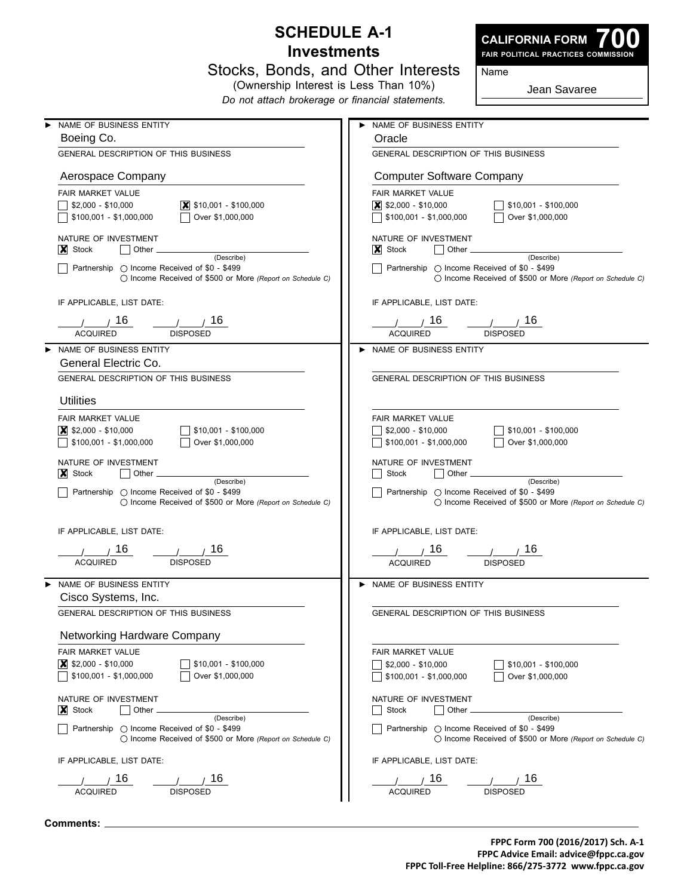#### **Schedule A-1 Investments**

Stocks, Bonds, and Other Interests



| Name |
|------|
|------|

(Ownership Interest is Less Than 10%) *Do not attach brokerage or financial statements.*

Jean Savaree

| NAME OF BUSINESS ENTITY                                                                                            | NAME OF BUSINESS ENTITY                                                                                            |
|--------------------------------------------------------------------------------------------------------------------|--------------------------------------------------------------------------------------------------------------------|
| Boeing Co.                                                                                                         | Oracle                                                                                                             |
| GENERAL DESCRIPTION OF THIS BUSINESS                                                                               | GENERAL DESCRIPTION OF THIS BUSINESS                                                                               |
| Aerospace Company                                                                                                  | <b>Computer Software Company</b>                                                                                   |
| FAIR MARKET VALUE                                                                                                  | FAIR MARKET VALUE                                                                                                  |
| $\vert$ \$10,001 - \$100,000<br>$$2,000 - $10,000$                                                                 | $\vert$ \$2,000 - \$10,000<br>$\frac{1}{2}$ \$10,001 - \$100,000                                                   |
| Over \$1,000,000<br>\$100,001 - \$1,000,000                                                                        | $\sqrt{ }$ \$100,001 - \$1,000,000<br>Over \$1,000,000                                                             |
| NATURE OF INVESTMENT                                                                                               | NATURE OF INVESTMENT                                                                                               |
| $\vert \mathbf{x} \vert$ Stock<br>Other.<br>(Describe)                                                             | $ X $ Stock<br>Other <sub>-</sub><br>(Describe)                                                                    |
| Partnership O Income Received of \$0 - \$499<br>○ Income Received of \$500 or More (Report on Schedule C)          | Partnership ○ Income Received of \$0 - \$499<br>◯ Income Received of \$500 or More (Report on Schedule C)          |
| IF APPLICABLE, LIST DATE:                                                                                          | IF APPLICABLE, LIST DATE:                                                                                          |
| 1/16<br>$\frac{1}{\sqrt{2}}$ / 16                                                                                  | $\prime$ $\prime$ 16<br>$\frac{1}{\sqrt{2}}$ / 16                                                                  |
| <b>ACQUIRED</b><br><b>DISPOSED</b>                                                                                 | <b>ACQUIRED</b><br><b>DISPOSED</b>                                                                                 |
| NAME OF BUSINESS ENTITY                                                                                            | NAME OF BUSINESS ENTITY                                                                                            |
|                                                                                                                    |                                                                                                                    |
| General Electric Co.                                                                                               |                                                                                                                    |
| GENERAL DESCRIPTION OF THIS BUSINESS                                                                               | GENERAL DESCRIPTION OF THIS BUSINESS                                                                               |
| <b>Utilities</b>                                                                                                   |                                                                                                                    |
| FAIR MARKET VALUE                                                                                                  | FAIR MARKET VALUE                                                                                                  |
| $\vert$ \$2,000 - \$10,000<br>$$10,001 - $100,000$                                                                 | $$2,000 - $10,000$<br>\$10,001 - \$100,000                                                                         |
| \$100,001 - \$1,000,000<br>Over \$1,000,000                                                                        | Over \$1,000,000<br>\$100,001 - \$1,000,000                                                                        |
|                                                                                                                    |                                                                                                                    |
| NATURE OF INVESTMENT                                                                                               | NATURE OF INVESTMENT                                                                                               |
| $ X $ Stock<br>Other<br>(Describe)                                                                                 | Stock<br>Other<br>(Describe)                                                                                       |
| Partnership O Income Received of \$0 - \$499<br>$\bigcirc$ Income Received of \$500 or More (Report on Schedule C) | Partnership ◯ Income Received of \$0 - \$499<br>$\bigcirc$ Income Received of \$500 or More (Report on Schedule C) |
| IF APPLICABLE, LIST DATE:                                                                                          | IF APPLICABLE, LIST DATE:                                                                                          |
|                                                                                                                    |                                                                                                                    |
| 16<br>16                                                                                                           | 16<br>16<br>$\sqrt{1}$                                                                                             |
| <b>ACQUIRED</b><br><b>DISPOSED</b>                                                                                 | <b>ACQUIRED</b><br><b>DISPOSED</b>                                                                                 |
| NAME OF BUSINESS ENTITY<br>Cisco Systems, Inc.                                                                     | NAME OF BUSINESS ENTITY                                                                                            |
|                                                                                                                    |                                                                                                                    |
| <b>GENERAL DESCRIPTION OF THIS BUSINESS</b>                                                                        | GENERAL DESCRIPTION OF THIS BUSINESS                                                                               |
| Networking Hardware Company                                                                                        |                                                                                                                    |
| <b>FAIR MARKET VALUE</b>                                                                                           | FAIR MARKET VALUE                                                                                                  |
| $\vert \overline{\mathbf{x}} \vert$ \$2,000 - \$10,000<br>\$10,001 - \$100,000                                     | $$2,000 - $10,000$<br>$$10,001 - $100,000$                                                                         |
| \$100,001 - \$1,000,000<br>Over \$1,000,000                                                                        | \$100,001 - \$1,000,000<br>Over \$1,000,000                                                                        |
| NATURE OF INVESTMENT                                                                                               | NATURE OF INVESTMENT                                                                                               |
| Other<br>$ X $ Stock                                                                                               | Other<br>Stock                                                                                                     |
| (Describe)                                                                                                         | (Describe)                                                                                                         |
| Partnership ◯ Income Received of \$0 - \$499<br>○ Income Received of \$500 or More (Report on Schedule C)          | Partnership ( Income Received of \$0 - \$499<br>◯ Income Received of \$500 or More (Report on Schedule C)          |
| IF APPLICABLE, LIST DATE:                                                                                          | IF APPLICABLE, LIST DATE:                                                                                          |
| 16<br>16                                                                                                           | 16<br>16                                                                                                           |
| ACQUIRED<br><b>DISPOSED</b>                                                                                        | <b>ACQUIRED</b><br><b>DISPOSED</b>                                                                                 |
|                                                                                                                    |                                                                                                                    |

**Comments:**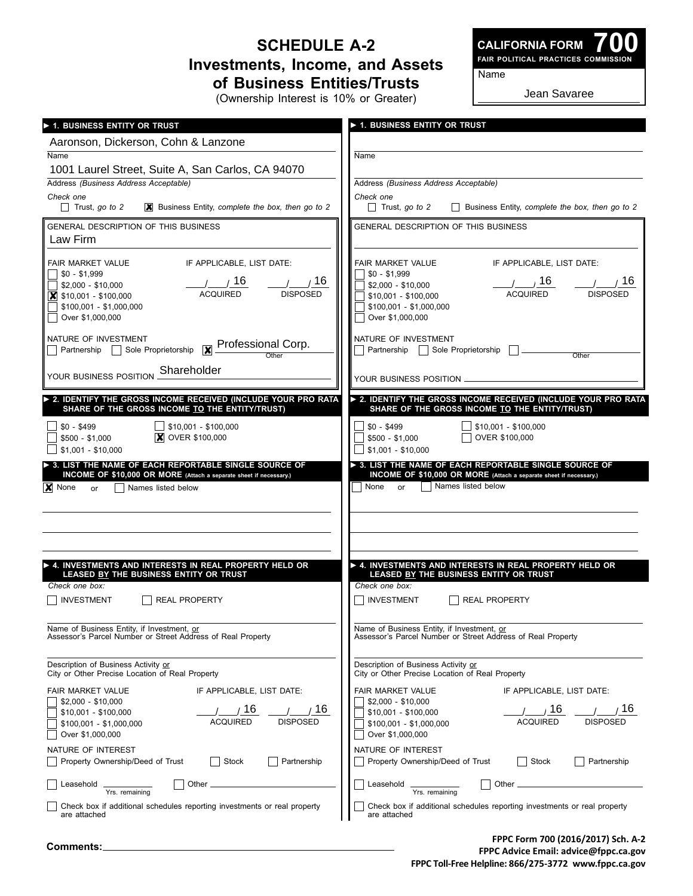### **Schedule A-2 Investments, Income, and Assets of Business Entities/Trusts**

(Ownership Interest is 10% or Greater)

**700 Fair Political Practices Commission CALIFORNIA FORM**

Name

Jean Savaree

| > 1. BUSINESS ENTITY OR TRUST                                                                                         | > 1. BUSINESS ENTITY OR TRUST                                                                       |
|-----------------------------------------------------------------------------------------------------------------------|-----------------------------------------------------------------------------------------------------|
| Aaronson, Dickerson, Cohn & Lanzone                                                                                   |                                                                                                     |
| Name                                                                                                                  | Name                                                                                                |
| 1001 Laurel Street, Suite A, San Carlos, CA 94070<br>Address (Business Address Acceptable)                            | Address (Business Address Acceptable)                                                               |
| Check one                                                                                                             | Check one                                                                                           |
| $\Box$ Trust, go to 2                                                                                                 | Business Entity, complete the box, then go to 2                                                     |
| $\mathbf{\times}$ Business Entity, complete the box, then go to 2                                                     | $\Box$ Trust, go to 2                                                                               |
| <b>GENERAL DESCRIPTION OF THIS BUSINESS</b><br>Law Firm                                                               | <b>GENERAL DESCRIPTION OF THIS BUSINESS</b>                                                         |
| FAIR MARKET VALUE                                                                                                     | IF APPLICABLE, LIST DATE:                                                                           |
| IF APPLICABLE, LIST DATE:                                                                                             | FAIR MARKET VALUE                                                                                   |
| $$0 - $1,999$                                                                                                         | $\sqrt{$0 - $1,999}$                                                                                |
| 1/16                                                                                                                  | $/$ $/16$                                                                                           |
| $\frac{1}{2}$ / 16                                                                                                    | / / 16                                                                                              |
| \$2,000 - \$10,000                                                                                                    | \$2,000 - \$10,000                                                                                  |
| <b>ACQUIRED</b>                                                                                                       | <b>ACQUIRED</b>                                                                                     |
| <b>DISPOSED</b>                                                                                                       | <b>DISPOSED</b>                                                                                     |
| $\vert \overline{\mathbf{x}} \vert$ \$10,001 - \$100,000                                                              | \$10,001 - \$100,000                                                                                |
| \$100,001 - \$1,000,000                                                                                               | \$100,001 - \$1,000,000                                                                             |
| Over \$1,000,000                                                                                                      | Over \$1,000,000                                                                                    |
| NATURE OF INVESTMENT<br><b>X</b> Professional Corp.<br>Partnership Sole Proprietorship<br>Other                       | NATURE OF INVESTMENT<br>Partnership   Sole Proprietorship<br>Other                                  |
| Shareholder<br>YOUR BUSINESS POSITION                                                                                 | YOUR BUSINESS POSITION.                                                                             |
| > 2. IDENTIFY THE GROSS INCOME RECEIVED (INCLUDE YOUR PRO RATA                                                        | > 2. IDENTIFY THE GROSS INCOME RECEIVED (INCLUDE YOUR PRO RATA                                      |
| SHARE OF THE GROSS INCOME TO THE ENTITY/TRUST)                                                                        | SHARE OF THE GROSS INCOME TO THE ENTITY/TRUST)                                                      |
| \$10,001 - \$100,000                                                                                                  | $\frac{1}{2}$ \$10,001 - \$100,000                                                                  |
| $$0 - $499$                                                                                                           | $$0 - $499$                                                                                         |
| <b>X</b> OVER \$100,000                                                                                               | OVER \$100,000                                                                                      |
| $$500 - $1,000$                                                                                                       | $$500 - $1,000$                                                                                     |
| $$1,001 - $10,000$                                                                                                    | $$1,001 - $10,000$                                                                                  |
| INCOME OF \$10,000 OR MORE (Attach a separate sheet if necessary.)<br>$ \mathbf{X} $ None<br>Names listed below<br>or | INCOME OF \$10,000 OR MORE (Attach a separate sheet if necessary.)<br>Names listed below<br>None or |
| A. INVESTMENTS AND INTERESTS IN REAL PROPERTY HELD OR                                                                 | ▶ 4. INVESTMENTS AND INTERESTS IN REAL PROPERTY HELD OR                                             |
| LEASED BY THE BUSINESS ENTITY OR TRUST                                                                                | LEASED BY THE BUSINESS ENTITY OR TRUST                                                              |
| Check one box:                                                                                                        | Check one box:                                                                                      |
| <b>INVESTMENT</b>                                                                                                     | INVESTMENT                                                                                          |
| <b>REAL PROPERTY</b>                                                                                                  | <b>REAL PROPERTY</b>                                                                                |
| Name of Business Entity, if Investment, or                                                                            | Name of Business Entity, if Investment, or                                                          |
| Assessor's Parcel Number or Street Address of Real Property                                                           | Assessor's Parcel Number or Street Address of Real Property                                         |
| Description of Business Activity or                                                                                   | Description of Business Activity or                                                                 |
| City or Other Precise Location of Real Property                                                                       | City or Other Precise Location of Real Property                                                     |
| FAIR MARKET VALUE                                                                                                     | FAIR MARKET VALUE                                                                                   |
| IF APPLICABLE, LIST DATE:                                                                                             | IF APPLICABLE, LIST DATE:                                                                           |
| $$2,000 - $10,000$                                                                                                    | $$2.000 - $10.000$                                                                                  |
| 16                                                                                                                    | 16                                                                                                  |
| 16                                                                                                                    | 16                                                                                                  |
| $$10,001 - $100,000$                                                                                                  | $$10,001 - $100,000$                                                                                |
| <b>ACQUIRED</b>                                                                                                       | <b>ACQUIRED</b>                                                                                     |
| <b>DISPOSED</b>                                                                                                       | <b>DISPOSED</b>                                                                                     |
| \$100,001 - \$1,000,000                                                                                               | \$100,001 - \$1,000,000                                                                             |
| Over \$1,000,000                                                                                                      | Over \$1,000,000                                                                                    |
| NATURE OF INTEREST                                                                                                    | NATURE OF INTEREST                                                                                  |
| Property Ownership/Deed of Trust                                                                                      | Property Ownership/Deed of Trust                                                                    |
| Stock                                                                                                                 | Stock                                                                                               |
| Partnership                                                                                                           | Partnership                                                                                         |
| Other _                                                                                                               | Leasehold                                                                                           |
| Leasehold                                                                                                             | Other.                                                                                              |
| Yrs. remaining                                                                                                        | Yrs. remaining                                                                                      |
| Check box if additional schedules reporting investments or real property                                              | Check box if additional schedules reporting investments or real property                            |
| are attached                                                                                                          | are attached                                                                                        |

**FPPC Form 700 (2016/2017) Sch. A-2 FPPC Advice Email: advice@fppc.ca.gov FPPC Toll-Free Helpline: 866/275-3772 www.fppc.ca.gov**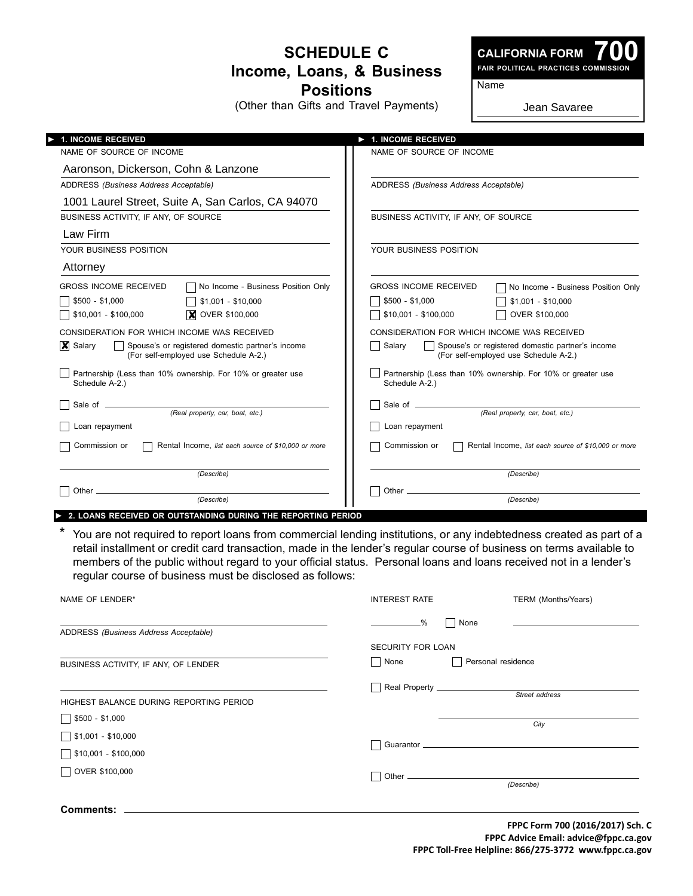### **Schedule C Income, Loans, & Business Positions**

(Other than Gifts and Travel Payments)

**CALIFORNIA FORM**

**700 Fair Political Practices Commission**

Name

Jean Savaree

| <b>1. INCOME RECEIVED</b>                                                                                                    | 1. INCOME RECEIVED                                                                                  |
|------------------------------------------------------------------------------------------------------------------------------|-----------------------------------------------------------------------------------------------------|
| NAME OF SOURCE OF INCOME                                                                                                     | NAME OF SOURCE OF INCOME                                                                            |
| Aaronson, Dickerson, Cohn & Lanzone                                                                                          |                                                                                                     |
| ADDRESS (Business Address Acceptable)                                                                                        | ADDRESS (Business Address Acceptable)                                                               |
| 1001 Laurel Street, Suite A, San Carlos, CA 94070                                                                            |                                                                                                     |
| BUSINESS ACTIVITY, IF ANY, OF SOURCE                                                                                         | BUSINESS ACTIVITY, IF ANY, OF SOURCE                                                                |
| Law Firm                                                                                                                     |                                                                                                     |
| YOUR BUSINESS POSITION                                                                                                       | YOUR BUSINESS POSITION                                                                              |
| Attorney                                                                                                                     |                                                                                                     |
| No Income - Business Position Only<br><b>GROSS INCOME RECEIVED</b>                                                           | <b>GROSS INCOME RECEIVED</b><br>No Income - Business Position Only                                  |
| $$500 - $1,000$<br>$$1,001 - $10,000$                                                                                        | $$500 - $1,000$<br>$$1,001 - $10,000$                                                               |
| <b>X</b> OVER \$100,000<br>\$10,001 - \$100,000                                                                              | OVER \$100,000<br>\$10,001 - \$100,000                                                              |
| CONSIDERATION FOR WHICH INCOME WAS RECEIVED                                                                                  | CONSIDERATION FOR WHICH INCOME WAS RECEIVED                                                         |
| $\vert \mathbf{X} \vert$ Salary<br>Spouse's or registered domestic partner's income<br>(For self-employed use Schedule A-2.) | Spouse's or registered domestic partner's income<br>Salary<br>(For self-employed use Schedule A-2.) |
| Partnership (Less than 10% ownership. For 10% or greater use<br>Schedule A-2.)                                               | Partnership (Less than 10% ownership. For 10% or greater use<br>Schedule A-2.)                      |
| (Real property, car, boat, etc.)                                                                                             | Sale of __<br>(Real property, car, boat, etc.)                                                      |
| Loan repayment                                                                                                               | Loan repayment                                                                                      |
| Commission or<br>Rental Income, list each source of \$10,000 or more                                                         | Commission or<br>Rental Income, list each source of \$10,000 or more                                |
| (Describe)                                                                                                                   | (Describe)                                                                                          |
| Other.<br>(Describe)                                                                                                         | Other $\overline{\phantom{0}}$<br>(Describe)                                                        |

► **2. loans Received or outstanding during the reporting period**

\* You are not required to report loans from commercial lending institutions, or any indebtedness created as part of a retail installment or credit card transaction, made in the lender's regular course of business on terms available to members of the public without regard to your official status. Personal loans and loans received not in a lender's regular course of business must be disclosed as follows:

| NAME OF LENDER*                         | <b>INTEREST RATE</b>     | TERM (Months/Years) |
|-----------------------------------------|--------------------------|---------------------|
| ADDRESS (Business Address Acceptable)   | $ -\%$                   | None                |
|                                         | <b>SECURITY FOR LOAN</b> |                     |
| BUSINESS ACTIVITY, IF ANY, OF LENDER    | None                     | Personal residence  |
| HIGHEST BALANCE DURING REPORTING PERIOD |                          | Street address      |
| $$500 - $1,000$                         |                          | City                |
| $\sqrt{\$1,001 - $10,000}$              | $\Box$                   |                     |
| \$10,001 - \$100,000<br>OVER \$100,000  | $\Box$                   |                     |
|                                         |                          | (Describe)          |
| <b>Comments:</b>                        |                          |                     |

**FPPC Form 700 (2016/2017) Sch. C FPPC Advice Email: advice@fppc.ca.gov FPPC Toll-Free Helpline: 866/275-3772 www.fppc.ca.gov**